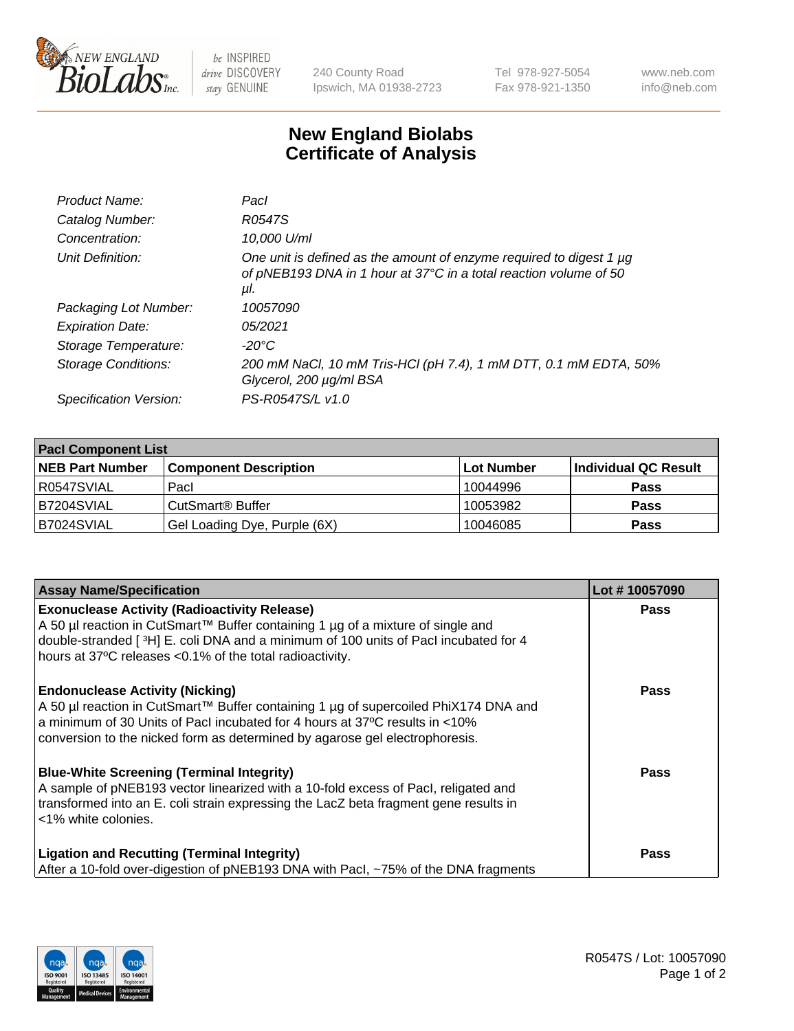

 $be$  INSPIRED drive DISCOVERY stay GENUINE

240 County Road Ipswich, MA 01938-2723 Tel 978-927-5054 Fax 978-921-1350 www.neb.com info@neb.com

## **New England Biolabs Certificate of Analysis**

| Product Name:           | Pacl                                                                                                                                            |
|-------------------------|-------------------------------------------------------------------------------------------------------------------------------------------------|
| Catalog Number:         | R0547S                                                                                                                                          |
| Concentration:          | 10,000 U/ml                                                                                                                                     |
| Unit Definition:        | One unit is defined as the amount of enzyme required to digest 1 µg<br>of pNEB193 DNA in 1 hour at 37°C in a total reaction volume of 50<br>μl. |
| Packaging Lot Number:   | 10057090                                                                                                                                        |
| <b>Expiration Date:</b> | 05/2021                                                                                                                                         |
| Storage Temperature:    | $-20^{\circ}$ C                                                                                                                                 |
| Storage Conditions:     | 200 mM NaCl, 10 mM Tris-HCl (pH 7.4), 1 mM DTT, 0.1 mM EDTA, 50%<br>Glycerol, 200 µg/ml BSA                                                     |
| Specification Version:  | PS-R0547S/L v1.0                                                                                                                                |

| <b>Pacl Component List</b> |                              |            |                      |  |  |
|----------------------------|------------------------------|------------|----------------------|--|--|
| <b>NEB Part Number</b>     | <b>Component Description</b> | Lot Number | Individual QC Result |  |  |
| R0547SVIAL                 | Pacl                         | 10044996   | <b>Pass</b>          |  |  |
| B7204SVIAL                 | CutSmart® Buffer             | 10053982   | <b>Pass</b>          |  |  |
| B7024SVIAL                 | Gel Loading Dye, Purple (6X) | 10046085   | <b>Pass</b>          |  |  |

| <b>Assay Name/Specification</b>                                                                                                                                                                                                                                                             | Lot #10057090 |
|---------------------------------------------------------------------------------------------------------------------------------------------------------------------------------------------------------------------------------------------------------------------------------------------|---------------|
| <b>Exonuclease Activity (Radioactivity Release)</b><br>A 50 µl reaction in CutSmart™ Buffer containing 1 µg of a mixture of single and                                                                                                                                                      | <b>Pass</b>   |
| double-stranded [3H] E. coli DNA and a minimum of 100 units of Pacl incubated for 4<br>hours at 37°C releases <0.1% of the total radioactivity.                                                                                                                                             |               |
| <b>Endonuclease Activity (Nicking)</b><br>A 50 µl reaction in CutSmart™ Buffer containing 1 µg of supercoiled PhiX174 DNA and<br>a minimum of 30 Units of Pacl incubated for 4 hours at 37°C results in <10%<br>conversion to the nicked form as determined by agarose gel electrophoresis. | <b>Pass</b>   |
| <b>Blue-White Screening (Terminal Integrity)</b><br>A sample of pNEB193 vector linearized with a 10-fold excess of Pacl, religated and<br>transformed into an E. coli strain expressing the LacZ beta fragment gene results in<br><1% white colonies.                                       | Pass          |
| <b>Ligation and Recutting (Terminal Integrity)</b><br>After a 10-fold over-digestion of pNEB193 DNA with Pacl, ~75% of the DNA fragments                                                                                                                                                    | Pass          |